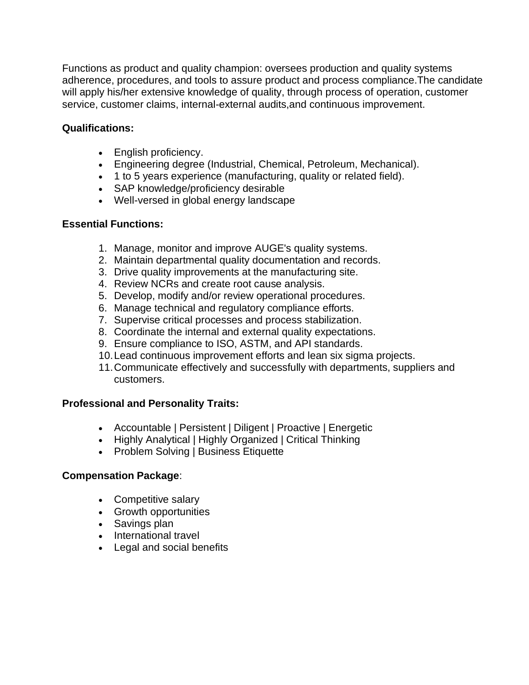Functions as product and quality champion: oversees production and quality systems adherence, procedures, and tools to assure product and process compliance.The candidate will apply his/her extensive knowledge of quality, through process of operation, customer service, customer claims, internal-external audits,and continuous improvement.

## **Qualifications:**

- English proficiency.
- Engineering degree (Industrial, Chemical, Petroleum, Mechanical).
- 1 to 5 years experience (manufacturing, quality or related field).
- SAP knowledge/proficiency desirable
- Well-versed in global energy landscape

### **Essential Functions:**

- 1. Manage, monitor and improve AUGE's quality systems.
- 2. Maintain departmental quality documentation and records.
- 3. Drive quality improvements at the manufacturing site.
- 4. Review NCRs and create root cause analysis.
- 5. Develop, modify and/or review operational procedures.
- 6. Manage technical and regulatory compliance efforts.
- 7. Supervise critical processes and process stabilization.
- 8. Coordinate the internal and external quality expectations.
- 9. Ensure compliance to ISO, ASTM, and API standards.
- 10.Lead continuous improvement efforts and lean six sigma projects.
- 11.Communicate effectively and successfully with departments, suppliers and customers.

# **Professional and Personality Traits:**

- Accountable | Persistent | Diligent | Proactive | Energetic
- Highly Analytical | Highly Organized | Critical Thinking
- Problem Solving | Business Etiquette

#### **Compensation Package**:

- Competitive salary
- Growth opportunities
- Savings plan
- International travel
- Legal and social benefits